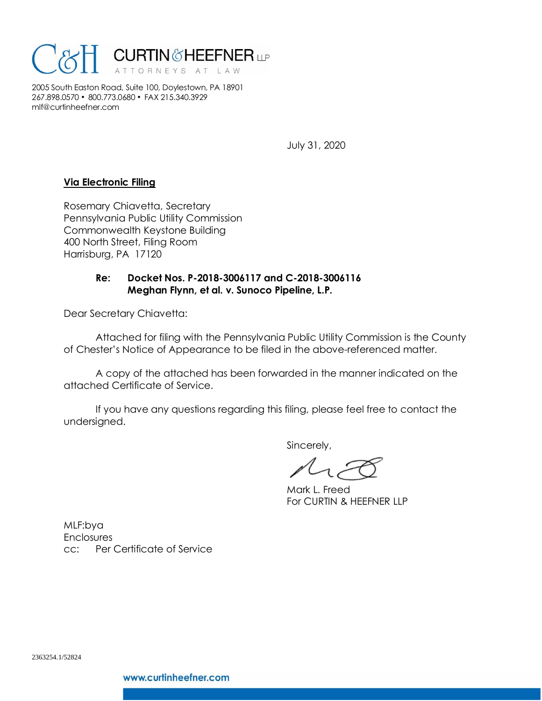

2005 South Easton Road, Suite 100, Doylestown, PA 18901 267.898.0570 • 800.773.0680 • FAX 215.340.3929 mlf@curtinheefner.com

July 31, 2020

# **Via Electronic Filing**

Rosemary Chiavetta, Secretary Pennsylvania Public Utility Commission Commonwealth Keystone Building 400 North Street, Filing Room Harrisburg, PA 17120

# **Re: Docket Nos. P-2018-3006117 and C-2018-3006116 Meghan Flynn, et al. v. Sunoco Pipeline, L.P.**

Dear Secretary Chiavetta:

Attached for filing with the Pennsylvania Public Utility Commission is the County of Chester's Notice of Appearance to be filed in the above-referenced matter.

A copy of the attached has been forwarded in the manner indicated on the attached Certificate of Service.

If you have any questions regarding this filing, please feel free to contact the undersigned.

Sincerely,

Mark L. Freed For CURTIN & HEEFNER LLP

MLF:bya **Enclosures** cc: Per Certificate of Service

2363254.1/52824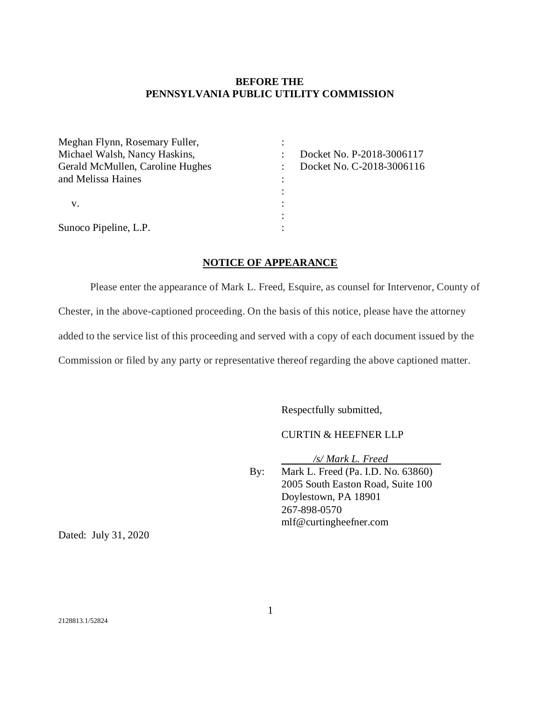# **BEFORE THE PENNSYLVANIA PUBLIC UTILITY COMMISSION**

| Meghan Flynn, Rosemary Fuller,   |                           |
|----------------------------------|---------------------------|
| Michael Walsh, Nancy Haskins,    | Docket No. P-2018-3006117 |
| Gerald McMullen, Caroline Hughes | Docket No. C-2018-3006116 |
| and Melissa Haines               |                           |
|                                  |                           |
| v.                               |                           |
|                                  |                           |
| Sunoco Pipeline, L.P.            |                           |

# **NOTICE OF APPEARANCE**

Please enter the appearance of Mark L. Freed, Esquire, as counsel for Intervenor, County of Chester, in the above-captioned proceeding. On the basis of this notice, please have the attorney added to the service list of this proceeding and served with a copy of each document issued by the Commission or filed by any party or representative thereof regarding the above captioned matter.

Respectfully submitted,

CURTIN & HEEFNER LLP

*/s/ Mark L. Freed*

By: Mark L. Freed (Pa. I.D. No. 63860) 2005 South Easton Road, Suite 100 Doylestown, PA 18901 267-898-0570 mlf@curtingheefner.com

Dated: July 31, 2020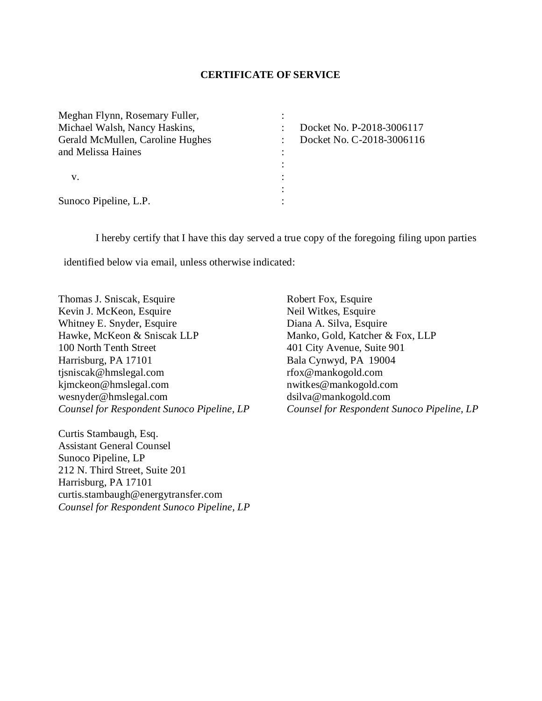#### **CERTIFICATE OF SERVICE**

| Meghan Flynn, Rosemary Fuller,   |   |                           |
|----------------------------------|---|---------------------------|
| Michael Walsh, Nancy Haskins,    |   | Docket No. P-2018-3006117 |
| Gerald McMullen, Caroline Hughes |   | Docket No. C-2018-3006116 |
| and Melissa Haines               |   |                           |
|                                  |   |                           |
| v.                               |   |                           |
|                                  | ٠ |                           |
| Sunoco Pipeline, L.P.            |   |                           |

I hereby certify that I have this day served a true copy of the foregoing filing upon parties

identified below via email, unless otherwise indicated:

Thomas J. Sniscak, Esquire Kevin J. McKeon, Esquire Whitney E. Snyder, Esquire Hawke, McKeon & Sniscak LLP 100 North Tenth Street Harrisburg, PA 17101 tjsniscak@hmslegal.com kjmckeon@hmslegal.com wesnyder@hmslegal.com *Counsel for Respondent Sunoco Pipeline, LP*

Curtis Stambaugh, Esq. Assistant General Counsel Sunoco Pipeline, LP 212 N. Third Street, Suite 201 Harrisburg, PA 17101 curtis.stambaugh@energytransfer.com *Counsel for Respondent Sunoco Pipeline, LP*

Robert Fox, Esquire Neil Witkes, Esquire Diana A. Silva, Esquire Manko, Gold, Katcher & Fox, LLP 401 City Avenue, Suite 901 Bala Cynwyd, PA 19004 rfox@mankogold.com nwitkes@mankogold.com dsilva@mankogold.com *Counsel for Respondent Sunoco Pipeline, LP*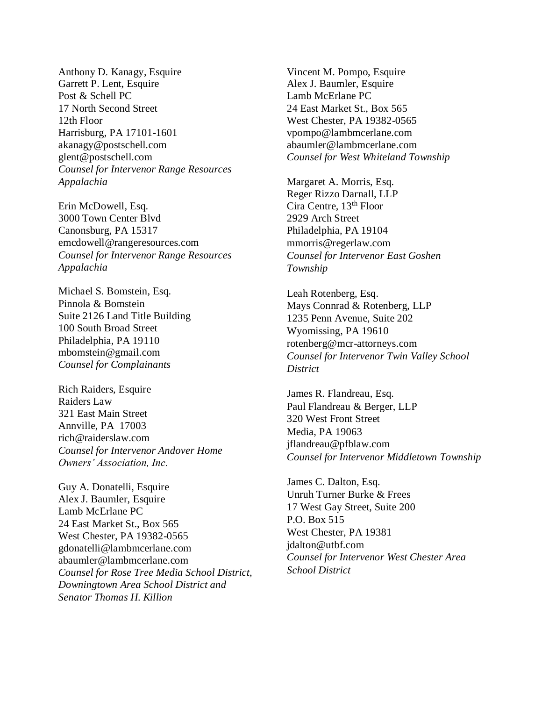Anthony D. Kanagy, Esquire Garrett P. Lent, Esquire Post & Schell PC 17 North Second Street 12th Floor Harrisburg, PA 17101-1601 akanagy@postschell.com glent@postschell.com *Counsel for Intervenor Range Resources Appalachia*

Erin McDowell, Esq. 3000 Town Center Blvd Canonsburg, PA 15317 emcdowell@rangeresources.com *Counsel for Intervenor Range Resources Appalachia*

Michael S. Bomstein, Esq. Pinnola & Bomstein Suite 2126 Land Title Building 100 South Broad Street Philadelphia, PA 19110 mbomstein@gmail.com *Counsel for Complainants*

Rich Raiders, Esquire Raiders Law 321 East Main Street Annville, PA 17003 rich@raiderslaw.com *Counsel for Intervenor Andover Home Owners' Association, Inc.*

Guy A. Donatelli, Esquire Alex J. Baumler, Esquire Lamb McErlane PC 24 East Market St., Box 565 West Chester, PA 19382-0565 gdonatelli@lambmcerlane.com abaumler@lambmcerlane.com *Counsel for Rose Tree Media School District, Downingtown Area School District and Senator Thomas H. Killion*

Vincent M. Pompo, Esquire Alex J. Baumler, Esquire Lamb McErlane PC 24 East Market St., Box 565 West Chester, PA 19382-0565 vpompo@lambmcerlane.com abaumler@lambmcerlane.com *Counsel for West Whiteland Township*

Margaret A. Morris, Esq. Reger Rizzo Darnall, LLP Cira Centre, 13th Floor 2929 Arch Street Philadelphia, PA 19104 mmorris@regerlaw.com *Counsel for Intervenor East Goshen Township*

Leah Rotenberg, Esq. Mays Connrad & Rotenberg, LLP 1235 Penn Avenue, Suite 202 Wyomissing, PA 19610 rotenberg@mcr-attorneys.com *Counsel for Intervenor Twin Valley School District*

James R. Flandreau, Esq. Paul Flandreau & Berger, LLP 320 West Front Street Media, PA 19063 jflandreau@pfblaw.com *Counsel for Intervenor Middletown Township*

James C. Dalton, Esq. Unruh Turner Burke & Frees 17 West Gay Street, Suite 200 P.O. Box 515 West Chester, PA 19381 jdalton@utbf.com *Counsel for Intervenor West Chester Area School District*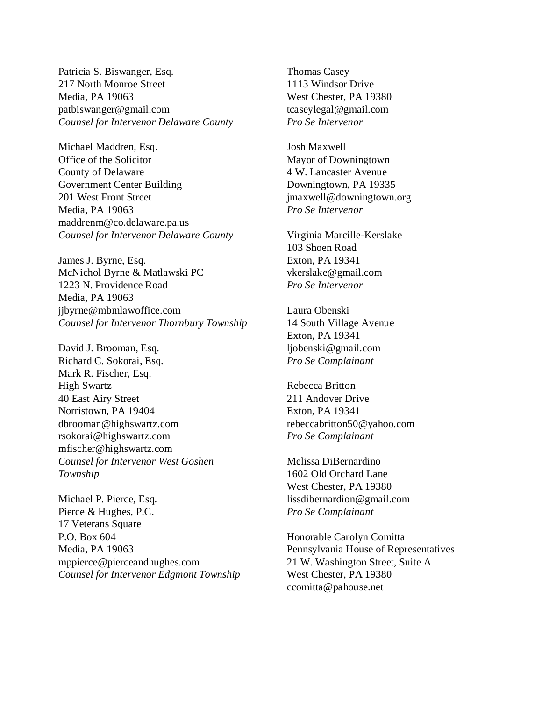Patricia S. Biswanger, Esq. 217 North Monroe Street Media, PA 19063 patbiswanger@gmail.com *Counsel for Intervenor Delaware County*

Michael Maddren, Esq. Office of the Solicitor County of Delaware Government Center Building 201 West Front Street Media, PA 19063 maddrenm@co.delaware.pa.us *Counsel for Intervenor Delaware County*

James J. Byrne, Esq. McNichol Byrne & Matlawski PC 1223 N. Providence Road Media, PA 19063 jjbyrne@mbmlawoffice.com *Counsel for Intervenor Thornbury Township*

David J. Brooman, Esq. Richard C. Sokorai, Esq. Mark R. Fischer, Esq. High Swartz 40 East Airy Street Norristown, PA 19404 dbrooman@highswartz.com rsokorai@highswartz.com mfischer@highswartz.com *Counsel for Intervenor West Goshen Township*

Michael P. Pierce, Esq. Pierce & Hughes, P.C. 17 Veterans Square P.O. Box 604 Media, PA 19063 mppierce@pierceandhughes.com *Counsel for Intervenor Edgmont Township* Thomas Casey 1113 Windsor Drive West Chester, PA 19380 tcaseylegal@gmail.com *Pro Se Intervenor*

Josh Maxwell Mayor of Downingtown 4 W. Lancaster Avenue Downingtown, PA 19335 jmaxwell@downingtown.org *Pro Se Intervenor*

Virginia Marcille-Kerslake 103 Shoen Road Exton, PA 19341 vkerslake@gmail.com *Pro Se Intervenor*

Laura Obenski 14 South Village Avenue Exton, PA 19341 ljobenski@gmail.com *Pro Se Complainant*

Rebecca Britton 211 Andover Drive Exton, PA 19341 rebeccabritton50@yahoo.com *Pro Se Complainant*

Melissa DiBernardino 1602 Old Orchard Lane West Chester, PA 19380 lissdibernardion@gmail.com *Pro Se Complainant*

Honorable Carolyn Comitta Pennsylvania House of Representatives 21 W. Washington Street, Suite A West Chester, PA 19380 ccomitta@pahouse.net